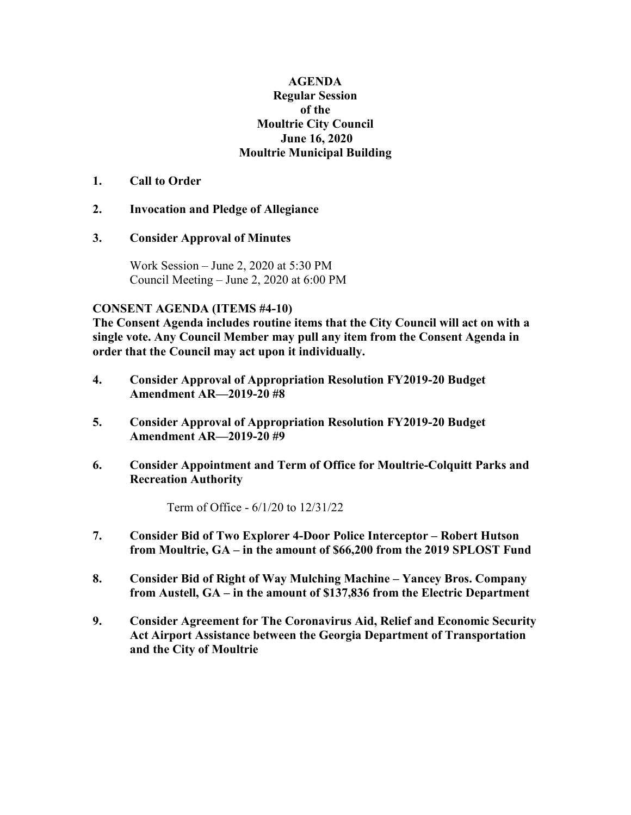## **AGENDA Regular Session of the Moultrie City Council June 16, 2020 Moultrie Municipal Building**

#### **1. Call to Order**

# **2. Invocation and Pledge of Allegiance**

## **3. Consider Approval of Minutes**

Work Session – June 2, 2020 at 5:30 PM Council Meeting – June 2, 2020 at 6:00 PM

#### **CONSENT AGENDA (ITEMS #4-10)**

**The Consent Agenda includes routine items that the City Council will act on with a single vote. Any Council Member may pull any item from the Consent Agenda in order that the Council may act upon it individually.**

- **4. Consider Approval of Appropriation Resolution FY2019-20 Budget Amendment AR—2019-20 #8**
- **5. Consider Approval of Appropriation Resolution FY2019-20 Budget Amendment AR—2019-20 #9**
- **6. Consider Appointment and Term of Office for Moultrie-Colquitt Parks and Recreation Authority**

Term of Office - 6/1/20 to 12/31/22

- **7. Consider Bid of Two Explorer 4-Door Police Interceptor – Robert Hutson from Moultrie, GA – in the amount of \$66,200 from the 2019 SPLOST Fund**
- **8. Consider Bid of Right of Way Mulching Machine – Yancey Bros. Company from Austell, GA – in the amount of \$137,836 from the Electric Department**
- **9. Consider Agreement for The Coronavirus Aid, Relief and Economic Security Act Airport Assistance between the Georgia Department of Transportation and the City of Moultrie**